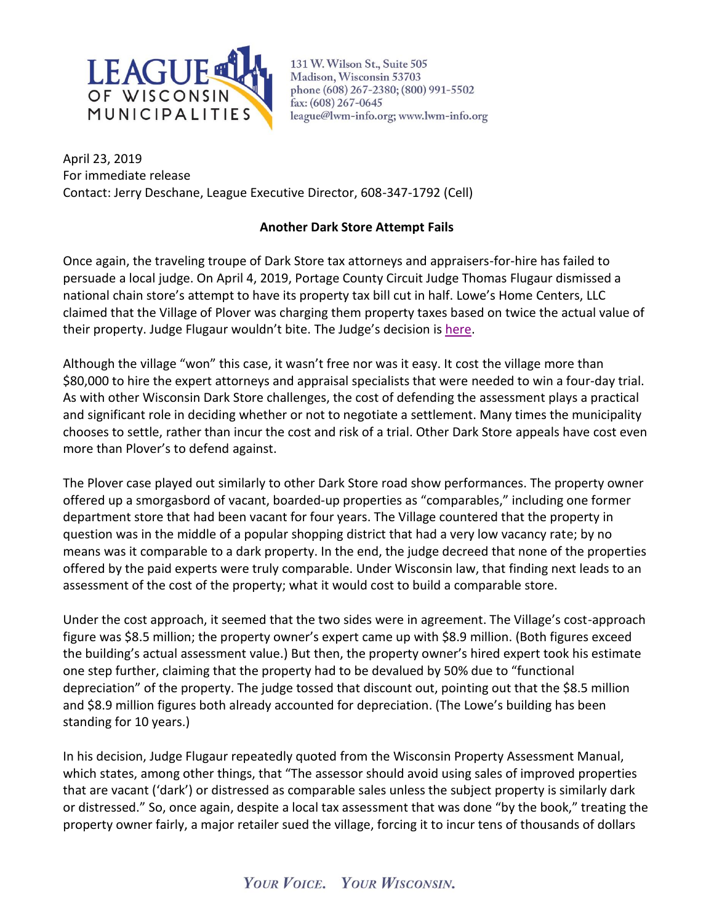

131 W. Wilson St., Suite 505 Madison, Wisconsin 53703 phone (608) 267-2380; (800) 991-5502 fax: (608) 267-0645 league@lwm-info.org; www.lwm-info.org

April 23, 2019 For immediate release Contact: Jerry Deschane, League Executive Director, 608-347-1792 (Cell)

## **Another Dark Store Attempt Fails**

Once again, the traveling troupe of Dark Store tax attorneys and appraisers-for-hire has failed to persuade a local judge. On April 4, 2019, Portage County Circuit Judge Thomas Flugaur dismissed a national chain store's attempt to have its property tax bill cut in half. Lowe's Home Centers, LLC claimed that the Village of Plover was charging them property taxes based on twice the actual value of their property. Judge Flugaur wouldn't bite. The Judge's decision is [here.](https://www.lwm-info.org/DocumentCenter/View/2824/Plover-Lowes-April-2019---Portage-County-Circuit-Court)

Although the village "won" this case, it wasn't free nor was it easy. It cost the village more than \$80,000 to hire the expert attorneys and appraisal specialists that were needed to win a four-day trial. As with other Wisconsin Dark Store challenges, the cost of defending the assessment plays a practical and significant role in deciding whether or not to negotiate a settlement. Many times the municipality chooses to settle, rather than incur the cost and risk of a trial. Other Dark Store appeals have cost even more than Plover's to defend against.

The Plover case played out similarly to other Dark Store road show performances. The property owner offered up a smorgasbord of vacant, boarded-up properties as "comparables," including one former department store that had been vacant for four years. The Village countered that the property in question was in the middle of a popular shopping district that had a very low vacancy rate; by no means was it comparable to a dark property. In the end, the judge decreed that none of the properties offered by the paid experts were truly comparable. Under Wisconsin law, that finding next leads to an assessment of the cost of the property; what it would cost to build a comparable store.

Under the cost approach, it seemed that the two sides were in agreement. The Village's cost-approach figure was \$8.5 million; the property owner's expert came up with \$8.9 million. (Both figures exceed the building's actual assessment value.) But then, the property owner's hired expert took his estimate one step further, claiming that the property had to be devalued by 50% due to "functional depreciation" of the property. The judge tossed that discount out, pointing out that the \$8.5 million and \$8.9 million figures both already accounted for depreciation. (The Lowe's building has been standing for 10 years.)

In his decision, Judge Flugaur repeatedly quoted from the Wisconsin Property Assessment Manual, which states, among other things, that "The assessor should avoid using sales of improved properties that are vacant ('dark') or distressed as comparable sales unless the subject property is similarly dark or distressed." So, once again, despite a local tax assessment that was done "by the book," treating the property owner fairly, a major retailer sued the village, forcing it to incur tens of thousands of dollars

## YOUR VOICE. YOUR WISCONSIN.